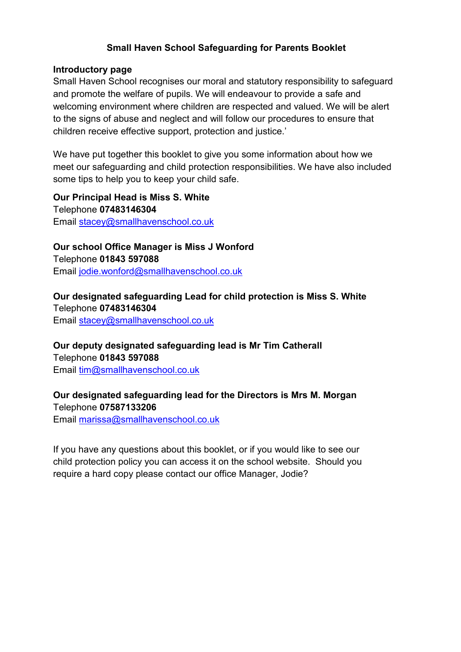## **Small Haven School Safeguarding for Parents Booklet**

#### **Introductory page**

Small Haven School recognises our moral and statutory responsibility to safeguard and promote the welfare of pupils. We will endeavour to provide a safe and welcoming environment where children are respected and valued. We will be alert to the signs of abuse and neglect and will follow our procedures to ensure that children receive effective support, protection and justice.'

We have put together this booklet to give you some information about how we meet our safeguarding and child protection responsibilities. We have also included some tips to help you to keep your child safe.

**Our Principal Head is Miss S. White** Telephone **07483146304** Email [stacey@smallhavenschool.co.uk](mailto:stacey@smallhavenschool.co.uk)

**Our school Office Manager is Miss J Wonford** Telephone **01843 597088** Email [jodie.wonford@smallhavenschool.co.uk](mailto:jodie.wonford@smallhavenschool.co.uk)

#### **Our designated safeguarding Lead for child protection is Miss S. White** Telephone **07483146304**

Email [stacey@smallhavenschool.co.uk](mailto:stacey@smallhavenschool.co.uk)

**Our deputy designated safeguarding lead is Mr Tim Catherall** Telephone **01843 597088**

Email [tim@smallhavenschool.co.uk](mailto:tim@smallhavenschool.co.uk)

**Our designated safeguarding lead for the Directors is Mrs M. Morgan** Telephone **07587133206**

Email [marissa@smallhavenschool.co.uk](mailto:marissa@smallhavenschool.co.uk)

If you have any questions about this booklet, or if you would like to see our child protection policy you can access it on the school website. Should you require a hard copy please contact our office Manager, Jodie?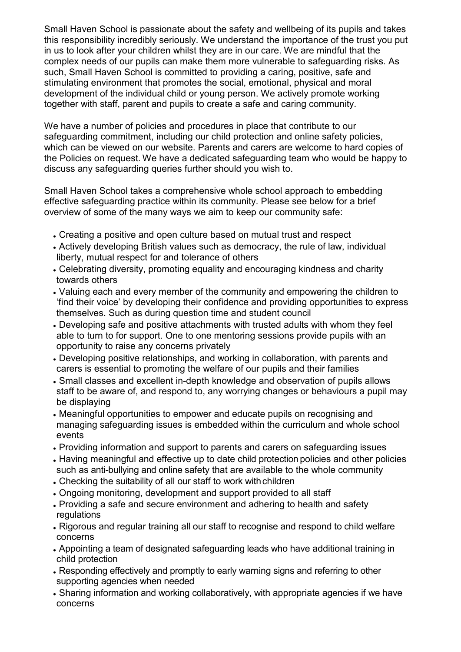Small Haven School is passionate about the safety and wellbeing of its pupils and takes this responsibility incredibly seriously. We understand the importance of the trust you put in us to look after your children whilst they are in our care. We are mindful that the complex needs of our pupils can make them more vulnerable to safeguarding risks. As such, Small Haven School is committed to providing a caring, positive, safe and stimulating environment that promotes the social, emotional, physical and moral development of the individual child or young person. We actively promote working together with staff, parent and pupils to create a safe and caring community.

We have a number of policies and procedures in place that contribute to our safeguarding commitment, including our child protection and online safety policies, which can be viewed on our website. Parents and carers are welcome to hard copies of the Policies on request. We have a dedicated safeguarding team who would be happy to discuss any safeguarding queries further should you wish to.

Small Haven School takes a comprehensive whole school approach to embedding effective safeguarding practice within its community. Please see below for a brief overview of some of the many ways we aim to keep our community safe:

- Creating a positive and open culture based on mutual trust and respect
- Actively developing British values such as democracy, the rule of law, individual liberty, mutual respect for and tolerance of others
- Celebrating diversity, promoting equality and encouraging kindness and charity towards others
- Valuing each and every member of the community and empowering the children to 'find their voice' by developing their confidence and providing opportunities to express themselves. Such as during question time and student council
- Developing safe and positive attachments with trusted adults with whom they feel able to turn to for support. One to one mentoring sessions provide pupils with an opportunity to raise any concerns privately
- Developing positive relationships, and working in collaboration, with parents and carers is essential to promoting the welfare of our pupils and their families
- Small classes and excellent in-depth knowledge and observation of pupils allows staff to be aware of, and respond to, any worrying changes or behaviours a pupil may be displaying
- Meaningful opportunities to empower and educate pupils on recognising and managing safeguarding issues is embedded within the curriculum and whole school events
- Providing information and support to parents and carers on safeguarding issues
- Having meaningful and effective up to date child protection policies and other policies such as anti-bullying and online safety that are available to the whole community
- Checking the suitability of all our staff to work withchildren
- Ongoing monitoring, development and support provided to all staff
- Providing a safe and secure environment and adhering to health and safety regulations
- Rigorous and regular training all our staff to recognise and respond to child welfare concerns
- Appointing a team of designated safeguarding leads who have additional training in child protection
- Responding effectively and promptly to early warning signs and referring to other supporting agencies when needed
- Sharing information and working collaboratively, with appropriate agencies if we have concerns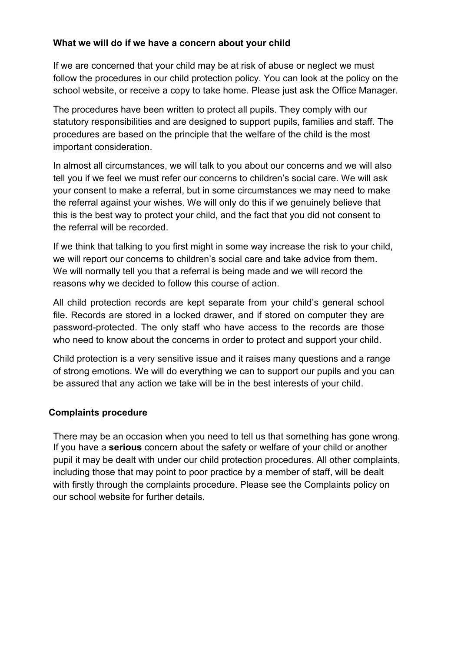## **What we will do if we have a concern about your child**

If we are concerned that your child may be at risk of abuse or neglect we must follow the procedures in our child protection policy. You can look at the policy on the school website, or receive a copy to take home. Please just ask the Office Manager.

The procedures have been written to protect all pupils. They comply with our statutory responsibilities and are designed to support pupils, families and staff. The procedures are based on the principle that the welfare of the child is the most important consideration.

In almost all circumstances, we will talk to you about our concerns and we will also tell you if we feel we must refer our concerns to children's social care. We will ask your consent to make a referral, but in some circumstances we may need to make the referral against your wishes. We will only do this if we genuinely believe that this is the best way to protect your child, and the fact that you did not consent to the referral will be recorded.

If we think that talking to you first might in some way increase the risk to your child, we will report our concerns to children's social care and take advice from them. We will normally tell you that a referral is being made and we will record the reasons why we decided to follow this course of action.

All child protection records are kept separate from your child's general school file. Records are stored in a locked drawer, and if stored on computer they are password-protected. The only staff who have access to the records are those who need to know about the concerns in order to protect and support your child.

Child protection is a very sensitive issue and it raises many questions and a range of strong emotions. We will do everything we can to support our pupils and you can be assured that any action we take will be in the best interests of your child.

# **Complaints procedure**

There may be an occasion when you need to tell us that something has gone wrong. If you have a **serious** concern about the safety or welfare of your child or another pupil it may be dealt with under our child protection procedures. All other complaints, including those that may point to poor practice by a member of staff, will be dealt with firstly through the complaints procedure. Please see the Complaints policy on our school website for further details.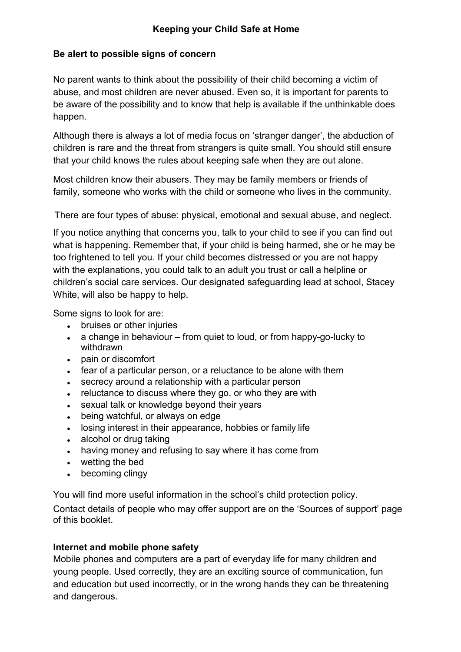## **Be alert to possible signs of concern**

No parent wants to think about the possibility of their child becoming a victim of abuse, and most children are never abused. Even so, it is important for parents to be aware of the possibility and to know that help is available if the unthinkable does happen.

Although there is always a lot of media focus on 'stranger danger', the abduction of children is rare and the threat from strangers is quite small. You should still ensure that your child knows the rules about keeping safe when they are out alone.

Most children know their abusers. They may be family members or friends of family, someone who works with the child or someone who lives in the community.

There are four types of abuse: physical, emotional and sexual abuse, and neglect.

If you notice anything that concerns you, talk to your child to see if you can find out what is happening. Remember that, if your child is being harmed, she or he may be too frightened to tell you. If your child becomes distressed or you are not happy with the explanations, you could talk to an adult you trust or call a helpline or children's social care services. Our designated safeguarding lead at school, Stacey White, will also be happy to help.

Some signs to look for are:

- bruises or other injuries
- a change in behaviour from quiet to loud, or from happy-go-lucky to withdrawn
- pain or discomfort
- fear of a particular person, or a reluctance to be alone with them
- secrecy around a relationship with a particular person
- reluctance to discuss where they go, or who they are with
- sexual talk or knowledge beyond their years
- being watchful, or always on edge
- losing interest in their appearance, hobbies or family life
- alcohol or drug taking
- having money and refusing to say where it has come from
- wetting the bed
- becoming clingy

You will find more useful information in the school's child protection policy.

Contact details of people who may offer support are on the 'Sources of support' page of this booklet.

## **Internet and mobile phone safety**

Mobile phones and computers are a part of everyday life for many children and young people. Used correctly, they are an exciting source of communication, fun and education but used incorrectly, or in the wrong hands they can be threatening and dangerous.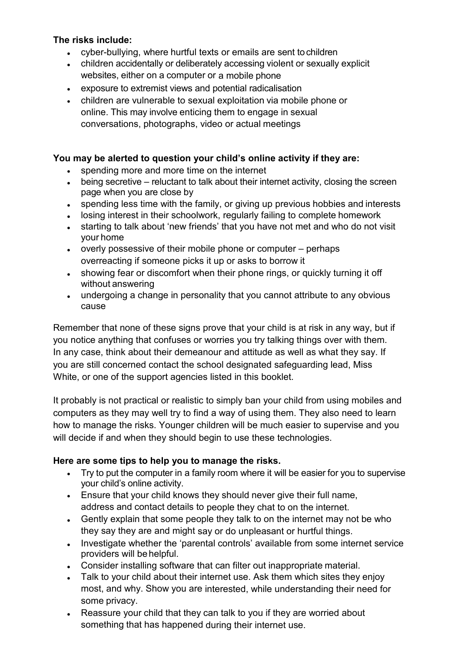## **The risks include:**

- cyber-bullying, where hurtful texts or emails are sent tochildren
- children accidentally or deliberately accessing violent or sexually explicit websites, either on a computer or a mobile phone
- exposure to extremist views and potential radicalisation
- children are vulnerable to sexual exploitation via mobile phone or online. This may involve enticing them to engage in sexual conversations, photographs, video or actual meetings

### **You may be alerted to question your child's online activity if they are:**

- spending more and more time on the internet
- being secretive reluctant to talk about their internet activity, closing the screen page when you are close by
- spending less time with the family, or giving up previous hobbies and interests
- losing interest in their schoolwork, regularly failing to complete homework
- starting to talk about 'new friends' that you have not met and who do not visit your home
- overly possessive of their mobile phone or computer perhaps overreacting if someone picks it up or asks to borrow it
- showing fear or discomfort when their phone rings, or quickly turning it off without answering
- undergoing a change in personality that you cannot attribute to any obvious cause

Remember that none of these signs prove that your child is at risk in any way, but if you notice anything that confuses or worries you try talking things over with them. In any case, think about their demeanour and attitude as well as what they say. If you are still concerned contact the school designated safeguarding lead, Miss White, or one of the support agencies listed in this booklet.

It probably is not practical or realistic to simply ban your child from using mobiles and computers as they may well try to find a way of using them. They also need to learn how to manage the risks. Younger children will be much easier to supervise and you will decide if and when they should begin to use these technologies.

## **Here are some tips to help you to manage the risks.**

- Try to put the computer in a family room where it will be easier for you to supervise your child's online activity.
- Ensure that your child knows they should never give their full name, address and contact details to people they chat to on the internet.
- Gently explain that some people they talk to on the internet may not be who they say they are and might say or do unpleasant or hurtful things.
- Investigate whether the 'parental controls' available from some internet service providers will behelpful.
- Consider installing software that can filter out inappropriate material.
- Talk to your child about their internet use. Ask them which sites they enjoy most, and why. Show you are interested, while understanding their need for some privacy.
- Reassure your child that they can talk to you if they are worried about something that has happened during their internet use.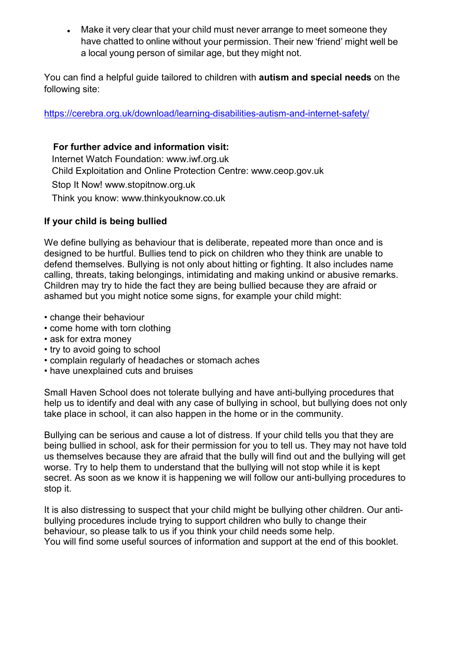• Make it very clear that your child must never arrange to meet someone they have chatted to online without your permission. Their new 'friend' might well be a local young person of similar age, but they might not.

You can find a helpful guide tailored to children with **autism and special needs** on the following site:

<https://cerebra.org.uk/download/learning-disabilities-autism-and-internet-safety/>

#### **For further advice and information visit:**

 Internet Watch Foundation: [www.iwf.org.uk](http://www.iwf.org.uk/) Child Exploitation and Online Protection Centre: [www.ceop.gov.uk](http://www.ceop.gov.uk/) Stop It Now! [www.stopitnow.org.uk](http://www.stopitnow.org.uk/)

Think you know: www.thinkyouknow.co.uk

## **If your child is being bullied**

We define bullying as behaviour that is deliberate, repeated more than once and is designed to be hurtful. Bullies tend to pick on children who they think are unable to defend themselves. Bullying is not only about hitting or fighting. It also includes name calling, threats, taking belongings, intimidating and making unkind or abusive remarks. Children may try to hide the fact they are being bullied because they are afraid or ashamed but you might notice some signs, for example your child might:

- change their behaviour
- come home with torn clothing
- ask for extra money
- try to avoid going to school
- complain regularly of headaches or stomach aches
- have unexplained cuts and bruises

Small Haven School does not tolerate bullying and have anti-bullying procedures that help us to identify and deal with any case of bullying in school, but bullying does not only take place in school, it can also happen in the home or in the community.

Bullying can be serious and cause a lot of distress. If your child tells you that they are being bullied in school, ask for their permission for you to tell us. They may not have told us themselves because they are afraid that the bully will find out and the bullying will get worse. Try to help them to understand that the bullying will not stop while it is kept secret. As soon as we know it is happening we will follow our anti-bullying procedures to stop it.

It is also distressing to suspect that your child might be bullying other children. Our antibullying procedures include trying to support children who bully to change their behaviour, so please talk to us if you think your child needs some help. You will find some useful sources of information and support at the end of this booklet.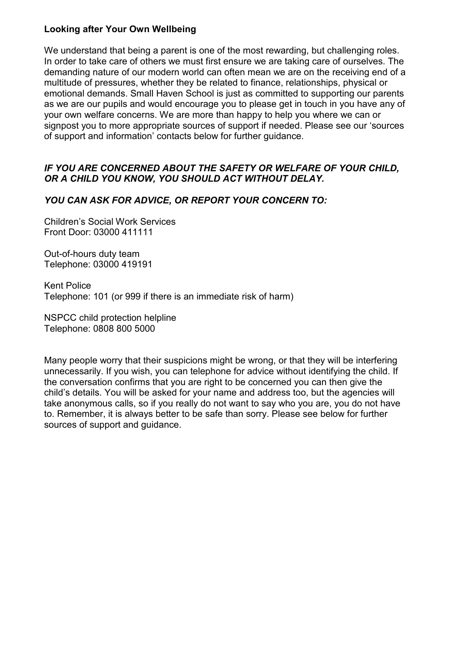#### **Looking after Your Own Wellbeing**

We understand that being a parent is one of the most rewarding, but challenging roles. In order to take care of others we must first ensure we are taking care of ourselves. The demanding nature of our modern world can often mean we are on the receiving end of a multitude of pressures, whether they be related to finance, relationships, physical or emotional demands. Small Haven School is just as committed to supporting our parents as we are our pupils and would encourage you to please get in touch in you have any of your own welfare concerns. We are more than happy to help you where we can or signpost you to more appropriate sources of support if needed. Please see our 'sources of support and information' contacts below for further guidance.

### *IF YOU ARE CONCERNED ABOUT THE SAFETY OR WELFARE OF YOUR CHILD, OR A CHILD YOU KNOW, YOU SHOULD ACT WITHOUT DELAY.*

#### *YOU CAN ASK FOR ADVICE, OR REPORT YOUR CONCERN TO:*

Children's Social Work Services Front Door: 03000 411111

Out-of-hours duty team Telephone: 03000 419191

Kent Police Telephone: 101 (or 999 if there is an immediate risk of harm)

NSPCC child protection helpline Telephone: 0808 800 5000

Many people worry that their suspicions might be wrong, or that they will be interfering unnecessarily. If you wish, you can telephone for advice without identifying the child. If the conversation confirms that you are right to be concerned you can then give the child's details. You will be asked for your name and address too, but the agencies will take anonymous calls, so if you really do not want to say who you are, you do not have to. Remember, it is always better to be safe than sorry. Please see below for further sources of support and guidance.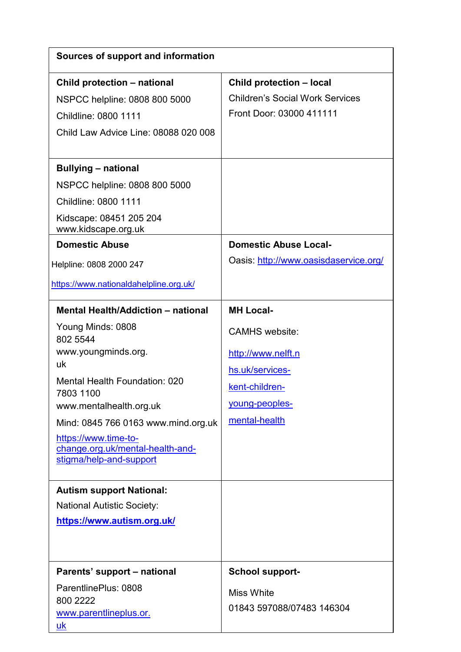| Sources of support and information                                                  |                                        |
|-------------------------------------------------------------------------------------|----------------------------------------|
| Child protection - national                                                         | Child protection - local               |
| NSPCC helpline: 0808 800 5000                                                       | <b>Children's Social Work Services</b> |
| Childline: 0800 1111                                                                | Front Door: 03000 411111               |
| Child Law Advice Line: 08088 020 008                                                |                                        |
| <b>Bullying - national</b>                                                          |                                        |
| NSPCC helpline: 0808 800 5000                                                       |                                        |
| Childline: 0800 1111                                                                |                                        |
| Kidscape: 08451 205 204<br>www.kidscape.org.uk                                      |                                        |
| <b>Domestic Abuse</b>                                                               | <b>Domestic Abuse Local-</b>           |
| Helpline: 0808 2000 247                                                             | Oasis: http://www.oasisdaservice.org/  |
| https://www.nationaldahelpline.org.uk/                                              |                                        |
| <b>Mental Health/Addiction - national</b>                                           | <b>MH Local-</b>                       |
| Young Minds: 0808<br>802 5544                                                       | <b>CAMHS</b> website:                  |
| www.youngminds.org.                                                                 | http://www.nelft.n                     |
| uk                                                                                  | hs.uk/services-                        |
| <b>Mental Health Foundation: 020</b>                                                | kent-children-                         |
| 7803 1100<br>www.mentalhealth.org.uk                                                | young-peoples-                         |
| Mind: 0845 766 0163 www.mind.org.uk                                                 | mental-health                          |
| https://www.time-to-<br>change.org.uk/mental-health-and-<br>stigma/help-and-support |                                        |
| <b>Autism support National:</b>                                                     |                                        |
| <b>National Autistic Society:</b>                                                   |                                        |
| https://www.autism.org.uk/                                                          |                                        |
|                                                                                     |                                        |
| Parents' support - national                                                         | <b>School support-</b>                 |
| ParentlinePlus: 0808                                                                | <b>Miss White</b>                      |
| 800 2222<br>www.parentlineplus.or.                                                  | 01843 597088/07483 146304              |
| uk                                                                                  |                                        |